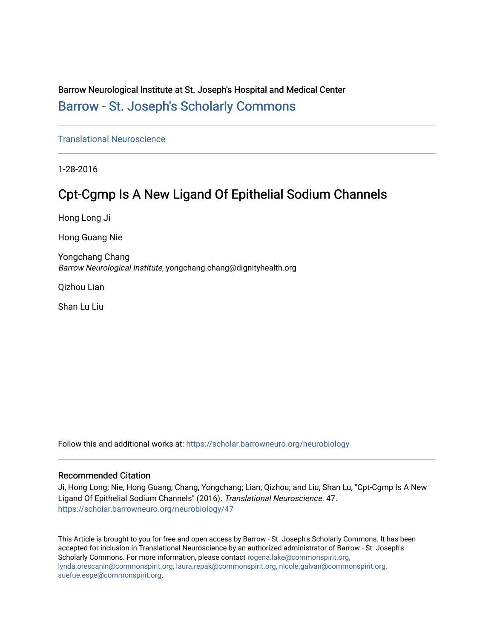Barrow Neurological Institute at St. Joseph's Hospital and Medical Center [Barrow - St. Joseph's Scholarly Commons](https://scholar.barrowneuro.org/) 

[Translational Neuroscience](https://scholar.barrowneuro.org/neurobiology)

1-28-2016

## Cpt-Cgmp Is A New Ligand Of Epithelial Sodium Channels

Hong Long Ji

Hong Guang Nie

Yongchang Chang Barrow Neurological Institute, yongchang.chang@dignityhealth.org

Qizhou Lian

Shan Lu Liu

Follow this and additional works at: [https://scholar.barrowneuro.org/neurobiology](https://scholar.barrowneuro.org/neurobiology?utm_source=scholar.barrowneuro.org%2Fneurobiology%2F47&utm_medium=PDF&utm_campaign=PDFCoverPages)

### Recommended Citation

Ji, Hong Long; Nie, Hong Guang; Chang, Yongchang; Lian, Qizhou; and Liu, Shan Lu, "Cpt-Cgmp Is A New Ligand Of Epithelial Sodium Channels" (2016). Translational Neuroscience. 47. [https://scholar.barrowneuro.org/neurobiology/47](https://scholar.barrowneuro.org/neurobiology/47?utm_source=scholar.barrowneuro.org%2Fneurobiology%2F47&utm_medium=PDF&utm_campaign=PDFCoverPages) 

This Article is brought to you for free and open access by Barrow - St. Joseph's Scholarly Commons. It has been accepted for inclusion in Translational Neuroscience by an authorized administrator of Barrow - St. Joseph's Scholarly Commons. For more information, please contact [rogena.lake@commonspirit.org,](mailto:rogena.lake@commonspirit.org,%20lynda.orescanin@commonspirit.org,%20laura.repak@commonspirit.org,%20nicole.galvan@commonspirit.org,%20suefue.espe@commonspirit.org) [lynda.orescanin@commonspirit.org, laura.repak@commonspirit.org, nicole.galvan@commonspirit.org,](mailto:rogena.lake@commonspirit.org,%20lynda.orescanin@commonspirit.org,%20laura.repak@commonspirit.org,%20nicole.galvan@commonspirit.org,%20suefue.espe@commonspirit.org)  [suefue.espe@commonspirit.org](mailto:rogena.lake@commonspirit.org,%20lynda.orescanin@commonspirit.org,%20laura.repak@commonspirit.org,%20nicole.galvan@commonspirit.org,%20suefue.espe@commonspirit.org).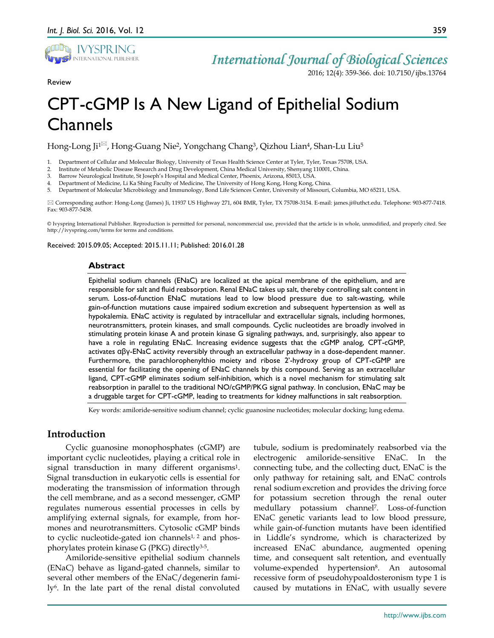

Review

# *International Journal of Biological Sciences*

2016; 12(4): 359-366. doi: 10.7150/ijbs.13764

# CPT-cGMP Is A New Ligand of Epithelial Sodium **Channels**

Hong-Long Ji<sup>1⊠</sup>, Hong-Guang Nie<sup>2</sup>, Yongchang Chang<sup>3</sup>, Qizhou Lian<sup>4</sup>, Shan-Lu Liu<sup>5</sup>

1. Department of Cellular and Molecular Biology, University of Texas Health Science Center at Tyler, Tyler, Texas 75708, USA.

2. Institute of Metabolic Disease Research and Drug Development, China Medical University, Shenyang 110001, China.

3. Barrow Neurological Institute, St Joseph's Hospital and Medical Center, Phoenix, Arizona, 85013, USA.

4. Department of Medicine, Li Ka Shing Faculty of Medicine, The University of Hong Kong, Hong Kong, China.

5. Department of Molecular Microbiology and Immunology, Bond Life Sciences Center, University of Missouri, Columbia, MO 65211, USA.

 Corresponding author: Hong-Long (James) Ji, 11937 US Highway 271, 604 BMR, Tyler, TX 75708-3154. E-mail: james.ji@uthct.edu. Telephone: 903-877-7418. Fax: 903-877-5438.

© Ivyspring International Publisher. Reproduction is permitted for personal, noncommercial use, provided that the article is in whole, unmodified, and properly cited. See http://ivyspring.com/terms for terms and conditions.

Received: 2015.09.05; Accepted: 2015.11.11; Published: 2016.01.28

#### **Abstract**

Epithelial sodium channels (ENaC) are localized at the apical membrane of the epithelium, and are responsible for salt and fluid reabsorption. Renal ENaC takes up salt, thereby controlling salt content in serum. Loss-of-function ENaC mutations lead to low blood pressure due to salt-wasting, while gain-of-function mutations cause impaired sodium excretion and subsequent hypertension as well as hypokalemia. ENaC activity is regulated by intracellular and extracellular signals, including hormones, neurotransmitters, protein kinases, and small compounds. Cyclic nucleotides are broadly involved in stimulating protein kinase A and protein kinase G signaling pathways, and, surprisingly, also appear to have a role in regulating ENaC. Increasing evidence suggests that the cGMP analog, CPT-cGMP, activates αβγ-ENaC activity reversibly through an extracellular pathway in a dose-dependent manner. Furthermore, the parachlorophenylthio moiety and ribose 2'-hydroxy group of CPT-cGMP are essential for facilitating the opening of ENaC channels by this compound. Serving as an extracellular ligand, CPT-cGMP eliminates sodium self-inhibition, which is a novel mechanism for stimulating salt reabsorption in parallel to the traditional NO/cGMP/PKG signal pathway. In conclusion, ENaC may be a druggable target for CPT-cGMP, leading to treatments for kidney malfunctions in salt reabsorption.

Key words: amiloride-sensitive sodium channel; cyclic guanosine nucleotides; molecular docking; lung edema.

## **Introduction**

Cyclic guanosine monophosphates (cGMP) are important cyclic nucleotides, playing a critical role in signal transduction in many different organisms<sup>1</sup>. Signal transduction in eukaryotic cells is essential for moderating the transmission of information through the cell membrane, and as a second messenger, cGMP regulates numerous essential processes in cells by amplifying external signals, for example, from hormones and neurotransmitters. Cytosolic cGMP binds to cyclic nucleotide-gated ion channels $1/2$  and phosphorylates protein kinase G (PKG) directly3-5.

Amiloride-sensitive epithelial sodium channels (ENaC) behave as ligand-gated channels, similar to several other members of the ENaC/degenerin fami- $\rm 1y<sup>6</sup>$ . In the late part of the renal distal convoluted

tubule, sodium is predominately reabsorbed via the electrogenic amiloride-sensitive ENaC. In the connecting tube, and the collecting duct, ENaC is the only pathway for retaining salt, and ENaC controls renal sodium excretion and provides the driving force for potassium secretion through the renal outer medullary potassium channel7. Loss-of-function ENaC genetic variants lead to low blood pressure, while gain-of-function mutants have been identified in Liddle's syndrome, which is characterized by increased ENaC abundance, augmented opening time, and consequent salt retention, and eventually volume-expended hypertension<sup>8</sup>. An autosomal recessive form of pseudohypoaldosteronism type 1 is caused by mutations in ENaC, with usually severe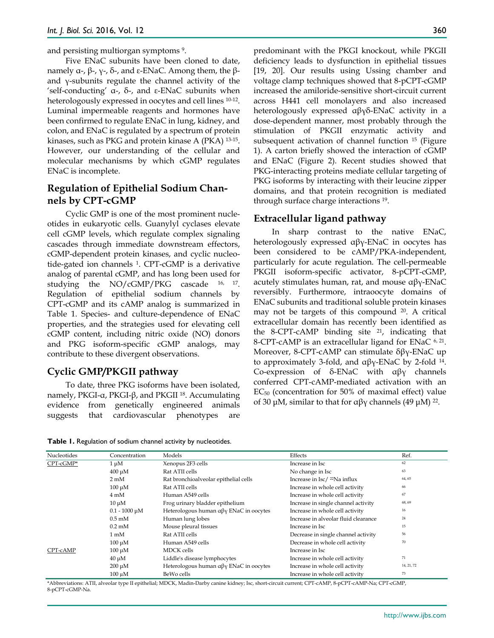and persisting multiorgan symptoms 9.

Five ENaC subunits have been cloned to date, namely  $\alpha$ -,  $\beta$ -,  $\gamma$ -,  $\delta$ -, and ε-ENaC. Among them, the βand γ-subunits regulate the channel activity of the 'self-conducting' α-, δ-, and ε-ENaC subunits when heterologously expressed in oocytes and cell lines  $10-12$ . Luminal impermeable reagents and hormones have been confirmed to regulate ENaC in lung, kidney, and colon, and ENaC is regulated by a spectrum of protein kinases, such as PKG and protein kinase A (PKA) 13-15. However, our understanding of the cellular and molecular mechanisms by which cGMP regulates ENaC is incomplete.

## **Regulation of Epithelial Sodium Channels by CPT-cGMP**

Cyclic GMP is one of the most prominent nucleotides in eukaryotic cells. Guanylyl cyclases elevate cell cGMP levels, which regulate complex signaling cascades through immediate downstream effectors, cGMP-dependent protein kinases, and cyclic nucleotide-gated ion channels 1. CPT-cGMP is a derivative analog of parental cGMP, and has long been used for studying the NO/cGMP/PKG cascade 16, 17. Regulation of epithelial sodium channels by CPT-cGMP and its cAMP analog is summarized in Table 1. Species- and culture-dependence of ENaC properties, and the strategies used for elevating cell cGMP content, including nitric oxide (NO) donors and PKG isoform-specific cGMP analogs, may contribute to these divergent observations.

## **Cyclic GMP/PKGII pathway**

To date, three PKG isoforms have been isolated, namely, PKGI-α, PKGI-β, and PKGII 18. Accumulating evidence from genetically engineered animals suggests that cardiovascular phenotypes are predominant with the PKGI knockout, while PKGII deficiency leads to dysfunction in epithelial tissues [19, 20]. Our results using Ussing chamber and voltage clamp techniques showed that 8-pCPT-cGMP increased the amiloride-sensitive short-circuit current across H441 cell monolayers and also increased heterologously expressed αβγδ-ENaC activity in a dose-dependent manner, most probably through the stimulation of PKGII enzymatic activity and subsequent activation of channel function <sup>15</sup> (Figure 1). A carton briefly showed the interaction of cGMP and ENaC (Figure 2). Recent studies showed that PKG-interacting proteins mediate cellular targeting of PKG isoforms by interacting with their leucine zipper domains, and that protein recognition is mediated through surface charge interactions 19.

## **Extracellular ligand pathway**

In sharp contrast to the native ENaC, heterologously expressed αβγ-ENaC in oocytes has been considered to be cAMP/PKA-independent, particularly for acute regulation. The cell-permeable PKGII isoform-specific activator, 8-pCPT-cGMP, acutely stimulates human, rat, and mouse αβγ-ENaC reversibly. Furthermore, intraoocyte domains of ENaC subunits and traditional soluble protein kinases may not be targets of this compound <sup>20</sup>. A critical extracellular domain has recently been identified as the 8-CPT-cAMP binding site 21, indicating that 8-CPT-cAMP is an extracellular ligand for ENaC 6, 21. Moreover, 8-CPT-cAMP can stimulate δβγ-ENaC up to approximately 3-fold, and  $αβγ$ -ENaC by 2-fold <sup>14</sup>. Co-expression of δ-ENaC with αβγ channels conferred CPT-cAMP-mediated activation with an  $EC_{50}$  (concentration for 50% of maximal effect) value of 30 μM, similar to that for αβγ channels (49 μM) <sup>22</sup>.

**Table 1.** Regulation of sodium channel activity by nucleotides.

| Nucleotides | Concentration      | Models                                                 | Effects                                  | Ref.       |
|-------------|--------------------|--------------------------------------------------------|------------------------------------------|------------|
| CPT-cGMP*   | $1 \mu M$          | Xenopus 2F3 cells                                      | Increase in Isc                          | 62         |
|             | $400 \mu M$        | Rat ATII cells                                         | No change in Isc                         | 63         |
|             | $2 \text{ mM}$     | Rat bronchioalveolar epithelial cells                  | Increase in Isc/ <sup>22</sup> Na influx | 64, 65     |
|             | $100 \mu M$        | Rat ATII cells                                         | Increase in whole cell activity          | 66         |
|             | 4 mM               | Human A549 cells                                       | Increase in whole cell activity          | 67         |
|             | $10 \mu M$         | Frog urinary bladder epithelium                        | Increase in single channel activity      | 68, 69     |
|             | $0.1 - 1000 \mu M$ | Heterologous human $\alpha\beta\gamma$ ENaC in oocytes | Increase in whole cell activity          | 16         |
|             | $0.5 \text{ mM}$   | Human lung lobes                                       | Increase in alveolar fluid clearance     | 24         |
|             | $0.2 \text{ mM}$   | Mouse pleural tissues                                  | Increase in Isc                          | 15         |
|             | $1 \text{ mM}$     | Rat ATII cells                                         | Decrease in single channel activity      | 56         |
|             | $100 \mu M$        | Human A549 cells                                       | Decrease in whole cell activity          | 70         |
| CPT-cAMP    | $100 \mu M$        | <b>MDCK</b> cells                                      | Increase in Isc                          |            |
|             | $40 \mu M$         | Liddle's disease lymphocytes                           | Increase in whole cell activity          | 71         |
|             | $200 \mu M$        | Heterologous human $\alpha\beta$ ENaC in oocytes       | Increase in whole cell activity          | 14, 21, 72 |
|             | $100 \mu M$        | BeWo cells                                             | Increase in whole cell activity          | 73         |

\*Abbreviations: ATII, alveolar type II epithelial; MDCK, Madin-Darby canine kidney; Isc, short-circuit current; CPT-cAMP, 8-pCPT-cAMP-Na; CPT-cGMP, 8-pCPT-cGMP-Na.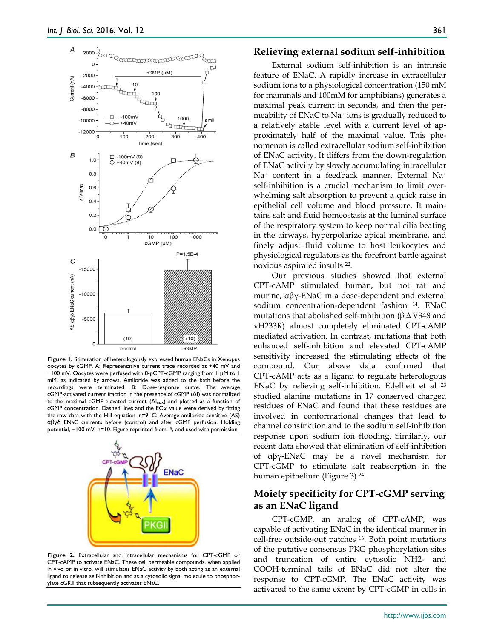

**Figure 1.** Stimulation of heterologously expressed human ENaCs in Xenopus oocytes by cGMP. A: Representative current trace recorded at +40 mV and −100 mV. Oocytes were perfused with 8-pCPT-cGMP ranging from 1 μM to 1 mM, as indicated by arrows. Amiloride was added to the bath before the recordings were terminated. B: Dose-response curve. The average cGMP-activated current fraction in the presence of cGMP (ΔI) was normalized to the maximal cGMP-elevated current (ΔImax) and plotted as a function of cGMP concentration. Dashed lines and the EC<sub>50</sub> value were derived by fitting the raw data with the Hill equation. n=9. C: Average amiloride-sensitive (AS) αβγδ ENaC currents before (control) and after cGMP perfusion. Holding potential, −100 mV. n=10. Figure reprinted from <sup>15</sup>, and used with permission.



**Figure 2.** Extracellular and intracellular mechanisms for CPT-cGMP or CPT-cAMP to activate ENaC. These cell permeable compounds, when applied in vivo or in vitro, will stimulates ENaC activity by both acting as an external ligand to release self-inhibition and as a cytosolic signal molecule to phosphorylate cGKII that subsequently activates ENaC.

#### **Relieving external sodium self-inhibition**

External sodium self-inhibition is an intrinsic feature of ENaC. A rapidly increase in extracellular sodium ions to a physiological concentration (150 mM for mammals and 100mM for amphibians) generates a maximal peak current in seconds, and then the permeability of ENaC to Na+ ions is gradually reduced to a relatively stable level with a current level of approximately half of the maximal value. This phenomenon is called extracellular sodium self-inhibition of ENaC activity. It differs from the down-regulation of ENaC activity by slowly accumulating intracellular Na<sup>+</sup> content in a feedback manner. External Na<sup>+</sup> self-inhibition is a crucial mechanism to limit overwhelming salt absorption to prevent a quick raise in epithelial cell volume and blood pressure. It maintains salt and fluid homeostasis at the luminal surface of the respiratory system to keep normal cilia beating in the airways, hyperpolarize apical membrane, and finely adjust fluid volume to host leukocytes and physiological regulators as the forefront battle against noxious aspirated insults 22.

Our previous studies showed that external CPT-cAMP stimulated human, but not rat and murine, αβγ-ENaC in a dose-dependent and external sodium concentration-dependent fashion 14. ENaC mutations that abolished self-inhibition ( $β Δ V348$  and γH233R) almost completely eliminated CPT-cAMP mediated activation. In contrast, mutations that both enhanced self-inhibition and elevated CPT-cAMP sensitivity increased the stimulating effects of the compound. Our above data confirmed that CPT-cAMP acts as a ligand to regulate heterologous ENaC by relieving self-inhibition. Edelheit et al 23 studied alanine mutations in 17 conserved charged residues of ENaC and found that these residues are involved in conformational changes that lead to channel constriction and to the sodium self-inhibition response upon sodium ion flooding. Similarly, our recent data showed that elimination of self-inhibition of αβγ-ENaC may be a novel mechanism for CPT-cGMP to stimulate salt reabsorption in the human epithelium (Figure 3) 24.

## **Moiety specificity for CPT-cGMP serving as an ENaC ligand**

CPT-cGMP, an analog of CPT-cAMP, was capable of activating ENaC in the identical manner in cell-free outside-out patches 16. Both point mutations of the putative consensus PKG phosphorylation sites and truncation of entire cytosolic NH2- and COOH-terminal tails of ENaC did not alter the response to CPT-cGMP. The ENaC activity was activated to the same extent by CPT-cGMP in cells in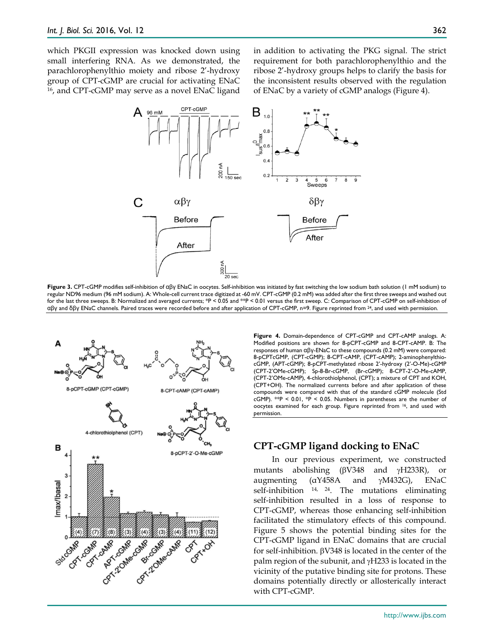which PKGII expression was knocked down using small interfering RNA. As we demonstrated, the parachlorophenylthio moiety and ribose 2'-hydroxy group of CPT-cGMP are crucial for activating ENaC 16, and CPT-cGMP may serve as a novel ENaC ligand in addition to activating the PKG signal. The strict requirement for both parachlorophenylthio and the ribose 2'-hydroxy groups helps to clarify the basis for the inconsistent results observed with the regulation of ENaC by a variety of cGMP analogs (Figure 4).



**Figure 3.** CPT-cGMP modifies self-inhibition of αβγ ENaC in oocytes. Self-inhibition was initiated by fast switching the low sodium bath solution (1 mM sodium) to regular ND96 medium (96 mM sodium). A: Whole-cell current trace digitized at -60 mV. CPT-cGMP (0.2 mM) was added after the first three sweeps and washed out for the last three sweeps. B: Normalized and averaged currents; \*P < 0.05 and \*\*P < 0.01 versus the first sweep. C: Comparison of CPT-cGMP on self-inhibition of αβγ and δβγ ENaC channels. Paired traces were recorded before and after application of CPT-cGMP, n=9. Figure reprinted from 24, and used with permission.



**Figure 4.** Domain-dependence of CPT-cGMP and CPT-cAMP analogs. A: Modified positions are shown for 8-pCPT-cGMP and 8-CPT-cAMP. B: The responses of human αβγ-ENaC to these compounds (0.2 mM) were compared: 8-pCPTcGMP, (CPT-cGMP); 8-CPT-cAMP, (CPT-cAMP); 2-aminophenylthiocGMP, (APT-cGMP); 8-pCPT-methylated ribose 2'-hydroxy (2'-O-Me)-cGMP (CPT-2'OMe-cGMP); Sp-8-Br-cGMP, (Br-cGMP); 8-CPT-2'-O-Me-cAMP, (CPT-2'OMe-cAMP), 4-chlorothiolphenol, (CPT); a mixture of CPT and KOH, (CPT+OH). The normalized currents before and after application of these compounds were compared with that of the standard cGMP molecule (Std cGMP). \*\*P < 0.01, \*P < 0.05. Numbers in parentheses are the number of oocytes examined for each group. Figure reprinted from 16, and used with permission.

## **CPT-cGMP ligand docking to ENaC**

In our previous experiment, we constructed mutants abolishing (βV348 and γH233R), or augmenting (αY458A and γM432G), ENaC self-inhibition <sup>14, 24</sup>. The mutations eliminating self-inhibition resulted in a loss of response to CPT-cGMP, whereas those enhancing self-inhibition facilitated the stimulatory effects of this compound. Figure 5 shows the potential binding sites for the CPT-cGMP ligand in ENaC domains that are crucial for self-inhibition. βV348 is located in the center of the palm region of the subunit, and γH233 is located in the vicinity of the putative binding site for protons. These domains potentially directly or allosterically interact with CPT-cGMP.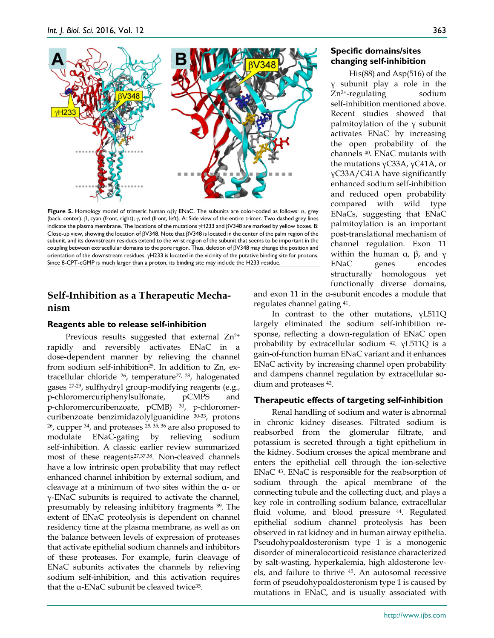

**Figure 5.** Homology model of trimeric human αβγ ENaC. The subunits are color-coded as follows: α, grey (back, center); β, cyan (front, right); γ, red (front, left). A: Side view of the entire trimer. Two dashed grey lines indicate the plasma membrane. The locations of the mutations γH233 and βV348 are marked by yellow boxes. B: Close-up view, showing the location of βV348. Note that βV348 is located in the center of the palm region of the subunit, and its downstream residues extend to the wrist region of the subunit that seems to be important in the coupling between extracellular domains to the pore region. Thus, deletion of βV348 may change the position and orientation of the downstream residues. γH233 is located in the vicinity of the putative binding site for protons. Since 8-CPT-cGMP is much larger than a proton, its binding site may include the H233 residue.

## **Self-Inhibition as a Therapeutic Mechanism**

#### **Reagents able to release self-inhibition**

Previous results suggested that external  $Zn^{2+}$ rapidly and reversibly activates ENaC in a dose-dependent manner by relieving the channel from sodium self-inhibition25. In addition to Zn, extracellular chloride 26, temperature27, 28, halogenated gases 27-29, sulfhydryl group-modifying reagents (e.g., p-chloromercuriphenylsulfonate, pCMPS and p-chloromercuribenzoate, pCMB) 30, p-chloromercuribenzoate benzimidazolylguanidine 30-33, protons  $26$ , cupper  $34$ , and proteases  $28, 35, 36$  are also proposed to modulate ENaC-gating by relieving sodium self-inhibition. A classic earlier review summarized most of these reagents<sup>27,37,38</sup>. Non-cleaved channels have a low intrinsic open probability that may reflect enhanced channel inhibition by external sodium, and cleavage at a minimum of two sites within the α- or γ-ENaC subunits is required to activate the channel, presumably by releasing inhibitory fragments 39. The extent of ENaC proteolysis is dependent on channel residency time at the plasma membrane, as well as on the balance between levels of expression of proteases that activate epithelial sodium channels and inhibitors of these proteases. For example, furin cleavage of ENaC subunits activates the channels by relieving sodium self-inhibition, and this activation requires that the α-ENaC subunit be cleaved twice35.

## **Specific domains/sites changing self-inhibition**

His(88) and Asp(516) of the γ subunit play a role in the Zn<sup>2+</sup>-regulating sodium self-inhibition mentioned above. Recent studies showed that palmitoylation of the  $\gamma$  subunit activates ENaC by increasing the open probability of the channels 40. ENaC mutants with the mutations γC33A, γC41A, or γC33A/C41A have significantly enhanced sodium self-inhibition and reduced open probability compared with wild type ENaCs, suggesting that ENaC palmitoylation is an important post-translational mechanism of channel regulation. Exon 11 within the human  $\alpha$ ,  $\beta$ , and γ ENaC genes encodes structurally homologous yet functionally diverse domains,

and exon 11 in the α-subunit encodes a module that regulates channel gating 41.

In contrast to the other mutations, γL511Q largely eliminated the sodium self-inhibition response, reflecting a down-regulation of ENaC open probability by extracellular sodium  $42$ . γL511Q is a gain-of-function human ENaC variant and it enhances ENaC activity by increasing channel open probability and dampens channel regulation by extracellular sodium and proteases 42.

#### **Therapeutic effects of targeting self-inhibition**

Renal handling of sodium and water is abnormal in chronic kidney diseases. Filtrated sodium is reabsorbed from the glomerular filtrate, and potassium is secreted through a tight epithelium in the kidney. Sodium crosses the apical membrane and enters the epithelial cell through the ion-selective ENaC 43. ENaC is responsible for the reabsorption of sodium through the apical membrane of the connecting tubule and the collecting duct, and plays a key role in controlling sodium balance, extracellular fluid volume, and blood pressure <sup>44</sup>. Regulated epithelial sodium channel proteolysis has been observed in rat kidney and in human airway epithelia. Pseudohypoaldosteronism type 1 is a monogenic disorder of mineralocorticoid resistance characterized by salt-wasting, hyperkalemia, high aldosterone levels, and failure to thrive 45. An autosomal recessive form of pseudohypoaldosteronism type 1 is caused by mutations in ENaC, and is usually associated with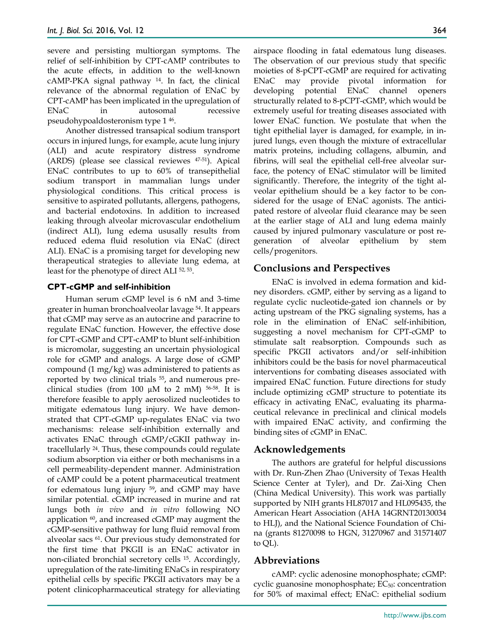severe and persisting multiorgan symptoms. The relief of self-inhibition by CPT-cAMP contributes to the acute effects, in addition to the well-known cAMP-PKA signal pathway 14. In fact, the clinical relevance of the abnormal regulation of ENaC by CPT-cAMP has been implicated in the upregulation of ENaC in autosomal recessive pseudohypoaldosteronism type 1 46.

Another distressed transapical sodium transport occurs in injured lungs, for example, acute lung injury (ALI) and acute respiratory distress syndrome (ARDS) (please see classical reviewes 47-51). Apical ENaC contributes to up to 60% of transepithelial sodium transport in mammalian lungs under physiological conditions. This critical process is sensitive to aspirated pollutants, allergens, pathogens, and bacterial endotoxins. In addition to increased leaking through alveolar microvascular endothelium (indirect ALI), lung edema ususally results from reduced edema fluid resolution via ENaC (direct ALI). ENaC is a promising target for developing new therapeutical strategies to alleviate lung edema, at least for the phenotype of direct ALI 52, 53.

### **CPT-cGMP and self-inhibition**

Human serum cGMP level is 6 nM and 3-time greater in human bronchoalveolar lavage 54. It appears that cGMP may serve as an autocrine and paracrine to regulate ENaC function. However, the effective dose for CPT-cGMP and CPT-cAMP to blunt self-inhibition is micromolar, suggesting an uncertain physiological role for cGMP and analogs. A large dose of cGMP compound (1 mg/kg) was administered to patients as reported by two clinical trials 55, and numerous preclinical studies (from 100  $\mu$ M to 2 mM) <sup>56-58</sup>. It is therefore feasible to apply aerosolized nucleotides to mitigate edematous lung injury. We have demonstrated that CPT-cGMP up-regulates ENaC via two mechanisms: release self-inhibition externally and activates ENaC through cGMP/cGKII pathway intracellularly 24. Thus, these compounds could regulate sodium absorption via either or both mechanisms in a cell permeability-dependent manner. Administration of cAMP could be a potent pharmaceutical treatment for edematous lung injury 59, and cGMP may have similar potential. cGMP increased in murine and rat lungs both *in vivo* and *in vitro* following NO application 60, and increased cGMP may augment the cGMP-sensitive pathway for lung fluid removal from alveolar sacs 61. Our previous study demonstrated for the first time that PKGII is an ENaC activator in non-ciliated bronchial secretory cells 15. Accordingly, upregulation of the rate-limiting ENaCs in respiratory epithelial cells by specific PKGII activators may be a potent clinicopharmaceutical strategy for alleviating

airspace flooding in fatal edematous lung diseases. The observation of our previous study that specific moieties of 8-pCPT-cGMP are required for activating ENaC may provide pivotal information for developing potential ENaC channel openers structurally related to 8-pCPT-cGMP, which would be extremely useful for treating diseases associated with lower ENaC function. We postulate that when the tight epithelial layer is damaged, for example, in injured lungs, even though the mixture of extracellular matrix proteins, including collagens, albumin, and fibrins, will seal the epithelial cell-free alveolar surface, the potency of ENaC stimulator will be limited significantly. Therefore, the integrity of the tight alveolar epithelium should be a key factor to be considered for the usage of ENaC agonists. The anticipated restore of alveolar fluid clearance may be seen at the earlier stage of ALI and lung edema mainly caused by injured pulmonary vasculature or post regeneration of alveolar epithelium by stem cells/progenitors.

## **Conclusions and Perspectives**

ENaC is involved in edema formation and kidney disorders. cGMP, either by serving as a ligand to regulate cyclic nucleotide-gated ion channels or by acting upstream of the PKG signaling systems, has a role in the elimination of ENaC self-inhibition, suggesting a novel mechanism for CPT-cGMP to stimulate salt reabsorption. Compounds such as specific PKGII activators and/or self-inhibition inhibitors could be the basis for novel pharmaceutical interventions for combating diseases associated with impaired ENaC function. Future directions for study include optimizing cGMP structure to potentiate its efficacy in activating ENaC, evaluating its pharmaceutical relevance in preclinical and clinical models with impaired ENaC activity, and confirming the binding sites of cGMP in ENaC.

## **Acknowledgements**

The authors are grateful for helpful discussions with Dr. Run-Zhen Zhao (University of Texas Health Science Center at Tyler), and Dr. Zai-Xing Chen (China Medical University). This work was partially supported by NIH grants HL87017 and HL095435, the American Heart Association (AHA 14GRNT20130034 to HLJ), and the National Science Foundation of China (grants 81270098 to HGN, 31270967 and 31571407 to QL).

## **Abbreviations**

cAMP: cyclic adenosine monophosphate; cGMP: cyclic guanosine monophosphate; EC<sub>50</sub>: concentration for 50% of maximal effect; ENaC: epithelial sodium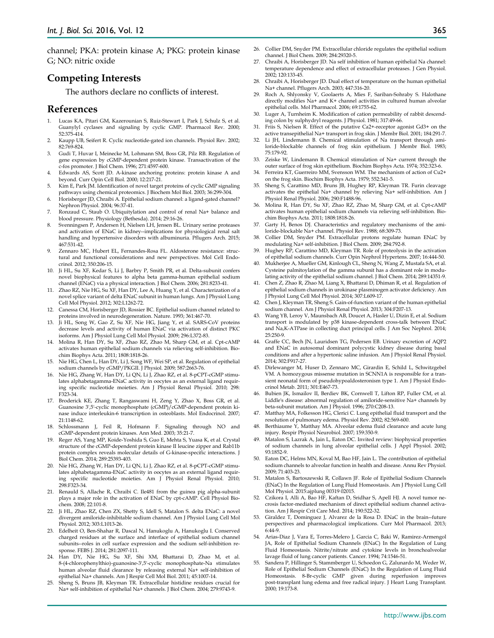channel; PKA: protein kinase A; PKG: protein kinase G; NO: nitric oxide

## **Competing Interests**

The authors declare no conflicts of interest.

### **References**

- 1. Lucas KA, Pitari GM, Kazerounian S, Ruiz-Stewart I, Park J, Schulz S, et al. Guanylyl cyclases and signaling by cyclic GMP. Pharmacol Rev. 2000; 52:375-414.
- 2. Kaupp UB, Seifert R. Cyclic nucleotide-gated ion channels. Physiol Rev. 2002; 82:769-824.
- 3. Gudi T, Huvar I, Meinecke M, Lohmann SM, Boss GR, Pilz RB. Regulation of gene expression by cGMP-dependent protein kinase. Transactivation of the c-fos promoter. J Biol Chem. 1996; 271:4597-600.
- 4. Edwards AS, Scott JD. A-kinase anchoring proteins: protein kinase A and beyond. Curr Opin Cell Biol. 2000; 12:217-21.
- 5. Kim E, Park JM. Identification of novel target proteins of cyclic GMP signaling pathways using chemical proteomics. J Biochem Mol Biol. 2003; 36:299-304.
- Horisberger JD, Chraibi A. Epithelial sodium channel: a ligand-gated channel? Nephron Physiol. 2004; 96:37-41.
- 7. Ronzaud C, Staub O. Ubiquitylation and control of renal Na+ balance and blood pressure. Physiology (Bethesda). 2014; 29:16-26.
- 8. Svenningsen P, Andersen H, Nielsen LH, Jensen BL. Urinary serine proteases and activation of ENaC in kidney--implications for physiological renal salt handling and hypertensive disorders with albuminuria. Pflugers Arch. 2015; 467:531-42.
- Zennaro MC, Hubert EL, Fernandes-Rosa FL. Aldosterone resistance: structural and functional considerations and new perspectives. Mol Cell Endocrinol. 2012; 350:206-15.
- 10. Ji HL, Su XF, Kedar S, Li J, Barbry P, Smith PR, et al. Delta-subunit confers novel biophysical features to alpha beta gamma-human epithelial sodium channel (ENaC) via a physical interaction. J Biol Chem. 2006; 281:8233-41.
- 11. Zhao RZ, Nie HG, Su XF, Han DY, Lee A, Huang Y, et al. Characterization of a novel splice variant of delta ENaC subunit in human lungs. Am J Physiol Lung Cell Mol Physiol. 2012; 302:L1262-72.
- 12. Canessa CM, Horisberger JD, Rossier BC. Epithelial sodium channel related to proteins involved in neurodegeneration. Nature. 1993; 361:467-70.
- 13. Ji HL, Song W, Gao Z, Su XF, Nie HG, Jiang Y, et al. SARS-CoV proteins decrease levels and activity of human ENaC via activation of distinct PKC isoforms. Am J Physiol Lung Cell Mol Physiol. 2009; 296:L372-83.
- 14. Molina R, Han DY, Su XF, Zhao RZ, Zhao M, Sharp GM, et al. Cpt-cAMP activates human epithelial sodium channels via relieving self-inhibition. Biochim Biophys Acta. 2011; 1808:1818-26.
- 15. Nie HG, Chen L, Han DY, Li J, Song WF, Wei SP, et al. Regulation of epithelial sodium channels by cGMP/PKGII. J Physiol. 2009; 587:2663-76.
- 16. Nie HG, Zhang W, Han DY, Li QN, Li J, Zhao RZ, et al. 8-pCPT-cGMP stimulates alphabetagamma-ENaC activity in oocytes as an external ligand requiring specific nucleotide moieties. Am J Physiol Renal Physiol. 2010; 298: F323-34.
- 17. Broderick KE, Zhang T, Rangaswami H, Zeng Y, Zhao X, Boss GR, et al. Guanosine 3',5'-cyclic monophosphate (cGMP)/cGMP-dependent protein kinase induce interleukin-6 transcription in osteoblasts. Mol Endocrinol. 2007; 21:1148-62.
- 18. Schlossmann J, Feil R, Hofmann F. Signaling through NO and cGMP-dependent protein kinases. Ann Med. 2003; 35:21-7.
- Reger AS, Yang MP, Koide-Yoshida S, Guo E, Mehta S, Yuasa K, et al. Crystal structure of the cGMP-dependent protein kinase II leucine zipper and Rab11b protein complex reveals molecular details of G-kinase-specific interactions. J Biol Chem. 2014; 289:25393-403.
- 20. Nie HG, Zhang W, Han DY, Li QN, Li J, Zhao RZ, et al. 8-pCPT-cGMP stimulates alphabetagamma-ENaC activity in oocytes as an external ligand requiring specific nucleotide moieties. Am J Physiol Renal Physiol. 2010; 298:F323-34.
- 21. Renauld S, Allache R, Chraibi C. Ile481 from the guinea pig alpha-subunit plays a major role in the activation of ENaC by cpt-cAMP. Cell Physiol Biochem. 2008; 22:101-8.
- 22. Ji HL, Zhao RZ, Chen ZX, Shetty S, Idell S, Matalon S. delta ENaC: a novel divergent amiloride-inhibitable sodium channel. Am J Physiol Lung Cell Mol Physiol. 2012; 303:L1013-26.
- 23. Edelheit O, Ben-Shahar R, Dascal N, Hanukoglu A, Hanukoglu I. Conserved charged residues at the surface and interface of epithelial sodium channel subunits--roles in cell surface expression and the sodium self-inhibition response. FEBS J. 2014; 281:2097-111.
- 24. Han DY, Nie HG, Su XF, Shi XM, Bhattarai D, Zhao M, et al. 8-(4-chlorophenylthio)-guanosine-3',5'-cyclic monophosphate-Na stimulates human alveolar fluid clearance by releasing external Na+ self-inhibition of epithelial Na+ channels. Am J Respir Cell Mol Biol. 2011; 45:1007-14.
- 25. Sheng S, Bruns JB, Kleyman TR. Extracellular histidine residues crucial for Na+ self-inhibition of epithelial Na+ channels. J Biol Chem. 2004; 279:9743-9.
- 26. Collier DM, Snyder PM. Extracellular chloride regulates the epithelial sodium channel. J Biol Chem. 2009; 284:29320-5.
- 27. Chraibi A, Horisberger JD. Na self inhibition of human epithelial Na channel: temperature dependence and effect of extracellular proteases. J Gen Physiol. 2002; 120:133-45.
- 28. Chraibi A, Horisberger JD. Dual effect of temperature on the human epithelial Na+ channel. Pflugers Arch. 2003; 447:316-20.
- 29. Roch A, Shlyonsky V, Goolaerts A, Mies F, Sariban-Sohraby S. Halothane directly modifies Na+ and K+ channel activities in cultured human alveolar epithelial cells. Mol Pharmacol. 2006; 69:1755-62.
- 30. Luger A, Turnheim K. Modification of cation permeability of rabbit descending colon by sulphydryl reagents. J Physiol. 1981; 317:49-66.
- 31. Friis S, Nielsen R. Effect of the putative Ca2+-receptor agonist Gd3+ on the active transepithelial Na+ transport in frog skin. J Membr Biol. 2001; 184:291-7.
- 32. Li JH, Lindemann B. Chemical stimulation of Na transport through amiloride-blockable channels of frog skin epithelium. J Membr Biol. 1983; 75:179-92.
- 33. Zeiske W, Lindemann B. Chemical stimulation of Na+ current through the outer surface of frog skin epithelium. Biochim Biophys Acta. 1974; 352:323-6.
- 34. Ferreira KT, Guerreiro MM, Svensson WM. The mechanism of action of Cu2+ on the frog skin. Biochim Biophys Acta. 1979; 552:341-5.
- 35. Sheng S, Carattino MD, Bruns JB, Hughey RP, Kleyman TR. Furin cleavage activates the epithelial Na+ channel by relieving Na+ self-inhibition. Am J Physiol Renal Physiol. 2006; 290:F1488-96.
- 36. Molina R, Han DY, Su XF, Zhao RZ, Zhao M, Sharp GM, et al. Cpt-cAMP activates human epithelial sodium channels via relieving self-inhibition. Biochim Biophys Acta. 2011; 1808:1818-26.
- 37. Garty H, Benos DJ. Characteristics and regulatory mechanisms of the amiloride-blockable Na+ channel. Physiol Rev. 1988; 68:309-73.
- 38. Collier DM, Snyder PM. Extracellular protons regulate human ENaC by modulating Na+ self-inhibition. J Biol Chem. 2009; 284:792-8.
- Hughey RP, Carattino MD, Kleyman TR. Role of proteolysis in the activation of epithelial sodium channels. Curr Opin Nephrol Hypertens. 2007; 16:444-50.
- 40. Mukherjee A, Mueller GM, Kinlough CL, Sheng N, Wang Z, Mustafa SA, et al. Cysteine palmitoylation of the gamma subunit has a dominant role in modulating activity of the epithelial sodium channel. J Biol Chem. 2014; 289:14351-9.
- 41. Chen Z, Zhao R, Zhao M, Liang X, Bhattarai D, Dhiman R, et al. Regulation of epithelial sodium channels in urokinase plasminogen activator deficiency. Am J Physiol Lung Cell Mol Physiol. 2014; 307:L609-17.
- 42. Chen J, Kleyman TR, Sheng S. Gain-of-function variant of the human epithelial sodium channel. Am J Physiol Renal Physiol. 2013; 304:F207-13.
- 43. Wang YB, Leroy V, Maunsbach AB, Doucet A, Hasler U, Dizin E, et al. Sodium transport is modulated by p38 kinase-dependent cross-talk between ENaC and Na,K-ATPase in collecting duct principal cells. J Am Soc Nephrol. 2014; 25:250-9.
- 44. Graffe CC, Bech JN, Lauridsen TG, Pedersen EB. Urinary excretion of AQP2 and ENaC in autosomal dominant polycystic kidney disease during basal conditions and after a hypertonic saline infusion. Am J Physiol Renal Physiol. 2014; 302:F917-27.
- 45. Dirlewanger M, Huser D, Zennaro MC, Girardin E, Schild L, Schwitzgebel VM. A homozygous missense mutation in SCNN1A is responsible for a transient neonatal form of pseudohypoaldosteronism type 1. Am J Physiol Endocrinol Metab. 2011; 301:E467-73.
- 46. Bubien JK, Ismailov II, Berdiev BK, Cornwell T, Lifton RP, Fuller CM, et al. Liddle's disease: abnormal regulation of amiloride-sensitive Na+ channels by beta-subunit mutation. Am J Physiol. 1996; 270:C208-13.
- 47. Matthay MA, Folkesson HG, Clerici C. Lung epithelial fluid transport and the resolution of pulmonary edema. Physiol Rev. 2002; 82:569-600.
- 48. Berthiaume Y, Matthay MA. Alveolar edema fluid clearance and acute lung injury. Respir Physiol Neurobiol. 2007; 159:350-9.
- 49. Matalon S, Lazrak A, Jain L, Eaton DC. Invited review: biophysical properties of sodium channels in lung alveolar epithelial cells. J Appl Physiol. 2002; 93:1852-9.
- 50. Eaton DC, Helms MN, Koval M, Bao HF, Jain L. The contribution of epithelial sodium channels to alveolar function in health and disease. Annu Rev Physiol. 2009; 71:403-23.
- 51. Matalon S, Bartoszewski R, Collawn JF. Role of Epithelial Sodium Channels (ENaC) In the Regulation of Lung Fluid Homeostasis. Am J Physiol Lung Cell Mol Physiol. 2015:ajplung 00319 02015.
- 52. Czikora I, Alli A, Bao HF, Kaftan D, Sridhar S, Apell HJ. A novel tumor necrosis factor-mediated mechanism of direct epithelial sodium channel activation. Am J Respir Crit Care Med. 2014; 190:522-32.
- 53. Giraldez T, Dominguez J, Alvarez de la Rosa D. ENaC in the brain--future perspectives and pharmacological implications. Curr Mol Pharmacol. 2013; 6:44-9.
- 54. Arias-Diaz J, Vara E, Torres-Melero J, Garcia C, Baki W, Ramirez-Armengol JA, Role of Epithelial Sodium Channels (ENaC) In the Regulation of Lung Fluid Homeostasis. Nitrite/nitrate and cytokine levels in bronchoalveolar lavage fluid of lung cancer patients. Cancer. 1994; 74:1546-51.
- 55. Sandera P, Hillinger S, Stammberger U, Schoedon G, Zalunardo M, Weder W, Role of Epithelial Sodium Channels (ENaC) In the Regulation of Lung Fluid Homeostasis. 8-Br-cyclic GMP given during reperfusion improves post-transplant lung edema and free radical injury. J Heart Lung Transplant. 2000; 19:173-8.